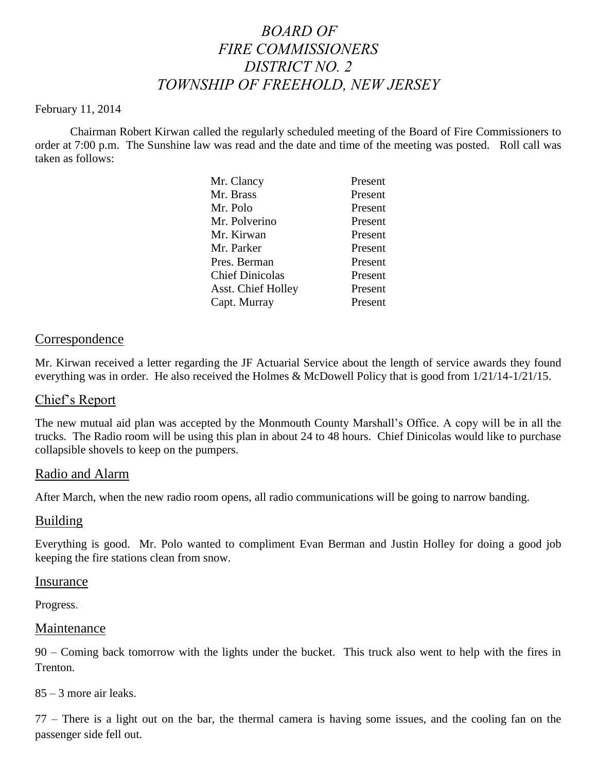# *BOARD OF FIRE COMMISSIONERS DISTRICT NO. 2 TOWNSHIP OF FREEHOLD, NEW JERSEY*

#### February 11, 2014

Chairman Robert Kirwan called the regularly scheduled meeting of the Board of Fire Commissioners to order at 7:00 p.m. The Sunshine law was read and the date and time of the meeting was posted. Roll call was taken as follows:

| Mr. Clancy             | Present |
|------------------------|---------|
| Mr. Brass              | Present |
| Mr. Polo               | Present |
| Mr. Polverino          | Present |
| Mr. Kirwan             | Present |
| Mr. Parker             | Present |
| Pres. Berman           | Present |
| <b>Chief Dinicolas</b> | Present |
| Asst. Chief Holley     | Present |
| Capt. Murray           | Present |

## Correspondence

Mr. Kirwan received a letter regarding the JF Actuarial Service about the length of service awards they found everything was in order. He also received the Holmes & McDowell Policy that is good from 1/21/14-1/21/15.

## Chief's Report

The new mutual aid plan was accepted by the Monmouth County Marshall's Office. A copy will be in all the trucks. The Radio room will be using this plan in about 24 to 48 hours. Chief Dinicolas would like to purchase collapsible shovels to keep on the pumpers.

## Radio and Alarm

After March, when the new radio room opens, all radio communications will be going to narrow banding.

## Building

Everything is good. Mr. Polo wanted to compliment Evan Berman and Justin Holley for doing a good job keeping the fire stations clean from snow.

#### Insurance

Progress.

#### Maintenance

90 – Coming back tomorrow with the lights under the bucket. This truck also went to help with the fires in Trenton.

85 – 3 more air leaks.

77 – There is a light out on the bar, the thermal camera is having some issues, and the cooling fan on the passenger side fell out.